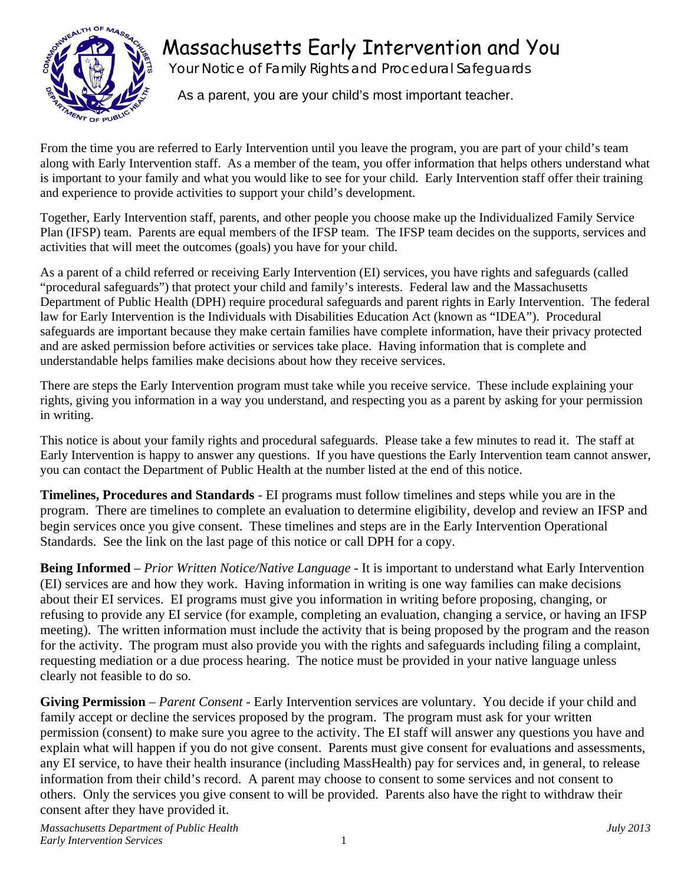



Your Notice of Family Rights and Procedural Safeguards

As a parent, you are your child's most important teacher.

From the time you are referred to Early Intervention until you leave the program, you are part of your child's team along with Early Intervention staff. As a member of the team, you offer information that helps others understand what is important to your family and what you would like to see for your child. Early Intervention staff offer their training and experience to provide activities to support your child's development.

Together, Early Intervention staff, parents, and other people you choose make up the Individualized Family Service Plan (IFSP) team. Parents are equal members of the IFSP team. The IFSP team decides on the supports, services and activities that will meet the outcomes (goals) you have for your child.

As a parent of a child referred or receiving Early Intervention (EI) services, you have rights and safeguards (called "procedural safeguards") that protect your child and family's interests. Federal law and the Massachusetts Department of Public Health (DPH) require procedural safeguards and parent rights in Early Intervention. The federal law for Early Intervention is the Individuals with Disabilities Education Act (known as "IDEA"). Procedural safeguards are important because they make certain families have complete information, have their privacy protected and are asked permission before activities or services take place. Having information that is complete and understandable helps families make decisions about how they receive services.

There are steps the Early Intervention program must take while you receive service. These include explaining your rights, giving you information in a way you understand, and respecting you as a parent by asking for your permission in writing.

This notice is about your family rights and procedural safeguards. Please take a few minutes to read it. The staff at Early Intervention is happy to answer any questions. If you have questions the Early Intervention team cannot answer, you can contact the Department of Public Health at the number listed at the end of this notice.

**Timelines, Procedures and Standards** - EI programs must follow timelines and steps while you are in the program. There are timelines to complete an evaluation to determine eligibility, develop and review an IFSP and begin services once you give consent. These timelines and steps are in the Early Intervention Operational Standards. See the link on the last page of this notice or call DPH for a copy.

**Being Informed** – *Prior Written Notice/Native Language* - It is important to understand what Early Intervention (EI) services are and how they work. Having information in writing is one way families can make decisions about their EI services. EI programs must give you information in writing before proposing, changing, or refusing to provide any EI service (for example, completing an evaluation, changing a service, or having an IFSP meeting). The written information must include the activity that is being proposed by the program and the reason for the activity. The program must also provide you with the rights and safeguards including filing a complaint, requesting mediation or a due process hearing. The notice must be provided in your native language unless clearly not feasible to do so.

**Giving Permission** – *Parent Consent* - Early Intervention services are voluntary. You decide if your child and family accept or decline the services proposed by the program. The program must ask for your written permission (consent) to make sure you agree to the activity. The EI staff will answer any questions you have and explain what will happen if you do not give consent. Parents must give consent for evaluations and assessments, any EI service, to have their health insurance (including MassHealth) pay for services and, in general, to release information from their child's record. A parent may choose to consent to some services and not consent to others. Only the services you give consent to will be provided. Parents also have the right to withdraw their consent after they have provided it.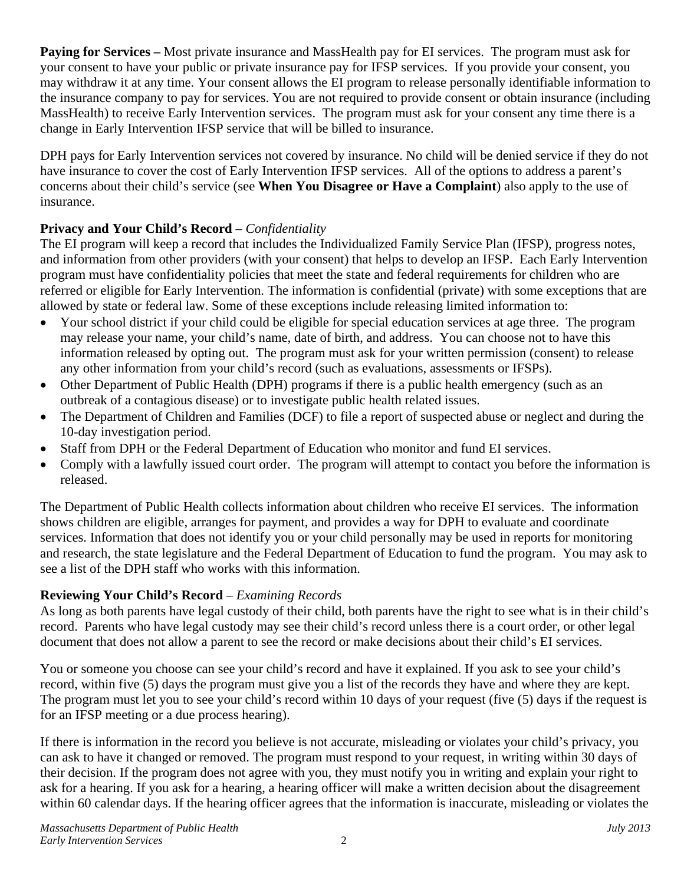**Paying for Services** – Most private insurance and MassHealth pay for EI services. The program must ask for your consent to have your public or private insurance pay for IFSP services. If you provide your consent, you may withdraw it at any time. Your consent allows the EI program to release personally identifiable information to the insurance company to pay for services. You are not required to provide consent or obtain insurance (including MassHealth) to receive Early Intervention services. The program must ask for your consent any time there is a change in Early Intervention IFSP service that will be billed to insurance.

DPH pays for Early Intervention services not covered by insurance. No child will be denied service if they do not have insurance to cover the cost of Early Intervention IFSP services. All of the options to address a parent's concerns about their child's service (see **When You Disagree or Have a Complaint**) also apply to the use of insurance.

## **Privacy and Your Child's Record** – *Confidentiality*

The EI program will keep a record that includes the Individualized Family Service Plan (IFSP), progress notes, and information from other providers (with your consent) that helps to develop an IFSP. Each Early Intervention program must have confidentiality policies that meet the state and federal requirements for children who are referred or eligible for Early Intervention. The information is confidential (private) with some exceptions that are allowed by state or federal law. Some of these exceptions include releasing limited information to:

- Your school district if your child could be eligible for special education services at age three. The program may release your name, your child's name, date of birth, and address. You can choose not to have this information released by opting out. The program must ask for your written permission (consent) to release any other information from your child's record (such as evaluations, assessments or IFSPs).
- Other Department of Public Health (DPH) programs if there is a public health emergency (such as an outbreak of a contagious disease) or to investigate public health related issues.
- The Department of Children and Families (DCF) to file a report of suspected abuse or neglect and during the 10-day investigation period.
- Staff from DPH or the Federal Department of Education who monitor and fund EI services.
- Comply with a lawfully issued court order. The program will attempt to contact you before the information is released.

The Department of Public Health collects information about children who receive EI services. The information shows children are eligible, arranges for payment, and provides a way for DPH to evaluate and coordinate services. Information that does not identify you or your child personally may be used in reports for monitoring and research, the state legislature and the Federal Department of Education to fund the program. You may ask to see a list of the DPH staff who works with this information.

## **Reviewing Your Child's Record** – *Examining Records*

As long as both parents have legal custody of their child, both parents have the right to see what is in their child's record. Parents who have legal custody may see their child's record unless there is a court order, or other legal document that does not allow a parent to see the record or make decisions about their child's EI services.

You or someone you choose can see your child's record and have it explained. If you ask to see your child's record, within five (5) days the program must give you a list of the records they have and where they are kept. The program must let you to see your child's record within 10 days of your request (five (5) days if the request is for an IFSP meeting or a due process hearing).

If there is information in the record you believe is not accurate, misleading or violates your child's privacy, you can ask to have it changed or removed. The program must respond to your request, in writing within 30 days of their decision. If the program does not agree with you, they must notify you in writing and explain your right to ask for a hearing. If you ask for a hearing, a hearing officer will make a written decision about the disagreement within 60 calendar days. If the hearing officer agrees that the information is inaccurate, misleading or violates the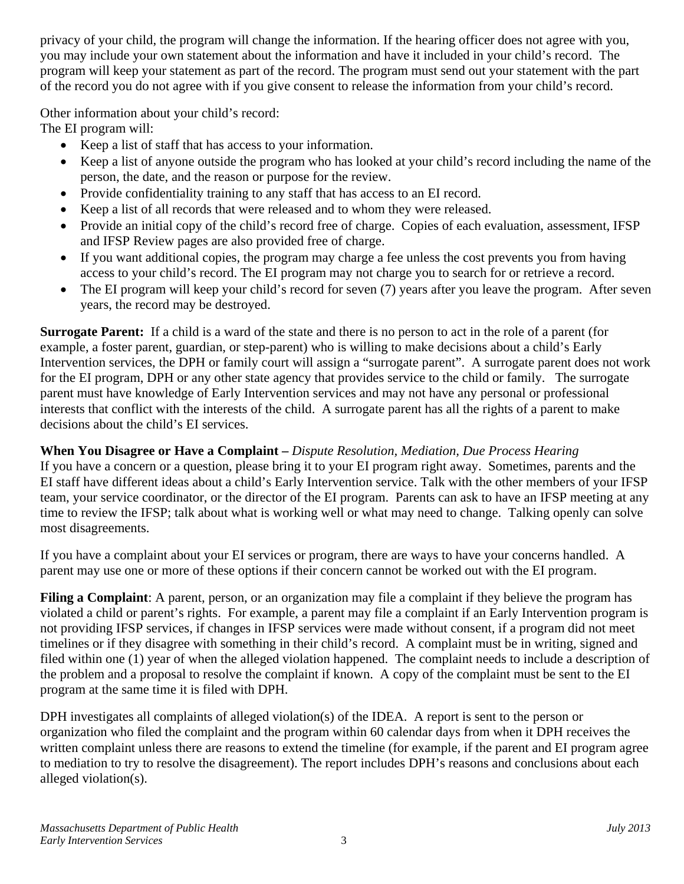privacy of your child, the program will change the information. If the hearing officer does not agree with you, you may include your own statement about the information and have it included in your child's record. The program will keep your statement as part of the record. The program must send out your statement with the part of the record you do not agree with if you give consent to release the information from your child's record.

Other information about your child's record:

The EI program will:

- Keep a list of staff that has access to your information.
- Keep a list of anyone outside the program who has looked at your child's record including the name of the person, the date, and the reason or purpose for the review.
- Provide confidentiality training to any staff that has access to an EI record.
- Keep a list of all records that were released and to whom they were released.
- Provide an initial copy of the child's record free of charge. Copies of each evaluation, assessment, IFSP and IFSP Review pages are also provided free of charge.
- If you want additional copies, the program may charge a fee unless the cost prevents you from having access to your child's record. The EI program may not charge you to search for or retrieve a record.
- The EI program will keep your child's record for seven (7) years after you leave the program. After seven years, the record may be destroyed.

**Surrogate Parent:** If a child is a ward of the state and there is no person to act in the role of a parent (for example, a foster parent, guardian, or step-parent) who is willing to make decisions about a child's Early Intervention services, the DPH or family court will assign a "surrogate parent". A surrogate parent does not work for the EI program, DPH or any other state agency that provides service to the child or family. The surrogate parent must have knowledge of Early Intervention services and may not have any personal or professional interests that conflict with the interests of the child. A surrogate parent has all the rights of a parent to make decisions about the child's EI services.

## **When You Disagree or Have a Complaint –** *Dispute Resolution, Mediation, Due Process Hearing*

If you have a concern or a question, please bring it to your EI program right away. Sometimes, parents and the EI staff have different ideas about a child's Early Intervention service. Talk with the other members of your IFSP team, your service coordinator, or the director of the EI program. Parents can ask to have an IFSP meeting at any time to review the IFSP; talk about what is working well or what may need to change. Talking openly can solve most disagreements.

If you have a complaint about your EI services or program, there are ways to have your concerns handled. A parent may use one or more of these options if their concern cannot be worked out with the EI program.

**Filing a Complaint**: A parent, person, or an organization may file a complaint if they believe the program has violated a child or parent's rights. For example, a parent may file a complaint if an Early Intervention program is not providing IFSP services, if changes in IFSP services were made without consent, if a program did not meet timelines or if they disagree with something in their child's record. A complaint must be in writing, signed and filed within one (1) year of when the alleged violation happened. The complaint needs to include a description of the problem and a proposal to resolve the complaint if known. A copy of the complaint must be sent to the EI program at the same time it is filed with DPH.

DPH investigates all complaints of alleged violation(s) of the IDEA. A report is sent to the person or organization who filed the complaint and the program within 60 calendar days from when it DPH receives the written complaint unless there are reasons to extend the timeline (for example, if the parent and EI program agree to mediation to try to resolve the disagreement). The report includes DPH's reasons and conclusions about each alleged violation(s).